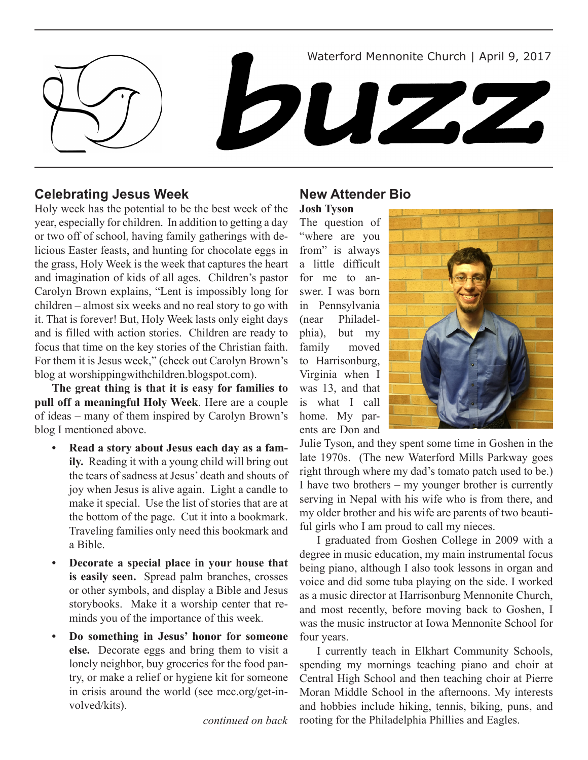Waterford Mennonite Church | April 9, 2017

# **DUZZ**

# **Celebrating Jesus Week**

Holy week has the potential to be the best week of the year, especially for children. In addition to getting a day or two off of school, having family gatherings with delicious Easter feasts, and hunting for chocolate eggs in the grass, Holy Week is the week that captures the heart and imagination of kids of all ages. Children's pastor Carolyn Brown explains, "Lent is impossibly long for children – almost six weeks and no real story to go with it. That is forever! But, Holy Week lasts only eight days and is filled with action stories. Children are ready to focus that time on the key stories of the Christian faith. For them it is Jesus week," (check out Carolyn Brown's blog at worshippingwithchildren.blogspot.com).

**The great thing is that it is easy for families to pull off a meaningful Holy Week**. Here are a couple of ideas – many of them inspired by Carolyn Brown's blog I mentioned above.

- Read a story about Jesus each day as a fam**ily.** Reading it with a young child will bring out the tears of sadness at Jesus' death and shouts of joy when Jesus is alive again. Light a candle to make it special. Use the list of stories that are at the bottom of the page. Cut it into a bookmark. Traveling families only need this bookmark and a Bible.
- **Decorate a special place in your house that is easily seen.** Spread palm branches, crosses or other symbols, and display a Bible and Jesus storybooks. Make it a worship center that reminds you of the importance of this week.
- **• Do something in Jesus' honor for someone else.** Decorate eggs and bring them to visit a lonely neighbor, buy groceries for the food pantry, or make a relief or hygiene kit for someone in crisis around the world (see mcc.org/get-involved/kits).

*continued on back*

# **New Attender Bio**

**Josh Tyson** 

The question of "where are you from" is always a little difficult for me to answer. I was born in Pennsylvania (near Philadelphia), but my family moved to Harrisonburg, Virginia when I was 13, and that is what I call home. My parents are Don and



Julie Tyson, and they spent some time in Goshen in the late 1970s. (The new Waterford Mills Parkway goes right through where my dad's tomato patch used to be.) I have two brothers – my younger brother is currently serving in Nepal with his wife who is from there, and my older brother and his wife are parents of two beautiful girls who I am proud to call my nieces.

I graduated from Goshen College in 2009 with a degree in music education, my main instrumental focus being piano, although I also took lessons in organ and voice and did some tuba playing on the side. I worked as a music director at Harrisonburg Mennonite Church, and most recently, before moving back to Goshen, I was the music instructor at Iowa Mennonite School for four years.

I currently teach in Elkhart Community Schools, spending my mornings teaching piano and choir at Central High School and then teaching choir at Pierre Moran Middle School in the afternoons. My interests and hobbies include hiking, tennis, biking, puns, and rooting for the Philadelphia Phillies and Eagles.